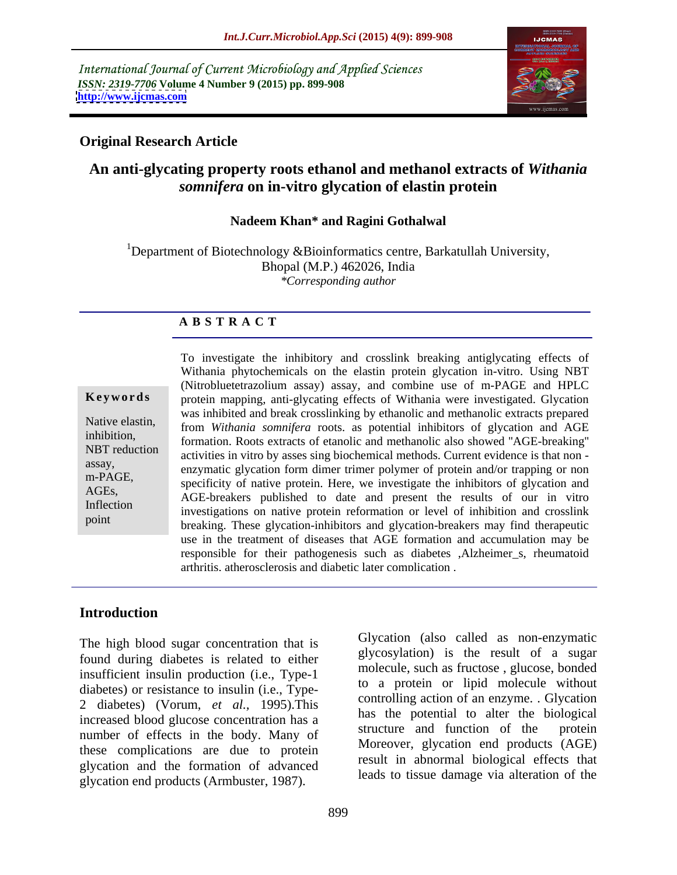International Journal of Current Microbiology and Applied Sciences *ISSN: 2319-7706* **Volume 4 Number 9 (2015) pp. 899-908 <http://www.ijcmas.com>**



## **Original Research Article**

## **An anti-glycating property roots ethanol and methanol extracts of** *Withania somnifera* **on in-vitro glycation of elastin protein**

## **Nadeem Khan\* and Ragini Gothalwal**

<sup>1</sup>Department of Biotechnology &Bioinformatics centre, Barkatullah University, Bhopal (M.P.) 462026, India *\*Corresponding author*

## **A B S T R A C T**

point

To investigate the inhibitory and crosslink breaking antiglycating effects of Withania phytochemicals on the elastin protein glycation in-vitro. Using NBT (Nitrobluetetrazolium assay) assay, and combine use of m-PAGE and HPLC protein mapping, anti-glycating effects of Withania were investigated. Glycation **Ke ywo rds** was inhibited and break crosslinking by ethanolic and methanolic extracts prepared Native elastin, from *Withania somnifera* roots. as potential inhibitors of glycation and AGE formation. Roots extracts of etanolic and methanolic also showed "AGE-breaking" NBT reduction<br>activities in vitro by asses sing biochemical methods. Current evidence is that non enzymatic glycation form dimer trimer polymer of protein and/or trapping or non<br>assay, m-PAGE,<br>ACE: specificity of native protein. Here, we investigate the inhibitors of glycation and AGEs,<br>AGE-breakers published to date and present the results of our in vitro Inflection<br>investigations on native protein reformation or level of inhibition and crosslink breaking. These glycation-inhibitors and glycation-breakers may find therapeutic use in the treatment of diseases that AGE formation and accumulation may be responsible for their pathogenesis such as diabetes ,Alzheimer\_s, rheumatoid arthritis, atherosclerosis and diabetic later complication .

## **Introduction**

The high blood sugar concentration that is found during diabetes is related to either insufficient insulin production (i.e., Type-1 diabetes) or resistance to insulin (i.e., Type- 2 diabetes) (Vorum, *et al.,* 1995).This increased blood glucose concentration has a<br>structure and function of the protein number of effects in the body. Many of these complications are due to protein glycation and the formation of advanced glycation end products (Armbuster, 1987).

Glycation (also called as non-enzymatic glycosylation) is the result of a sugar molecule, such as fructose , glucose, bonded to a protein or lipid molecule without controlling action of an enzyme. . Glycation has the potential to alter the biological structure and function of the Moreover, glycation end products (AGE) result in abnormal biological effects that leads to tissue damage via alteration of the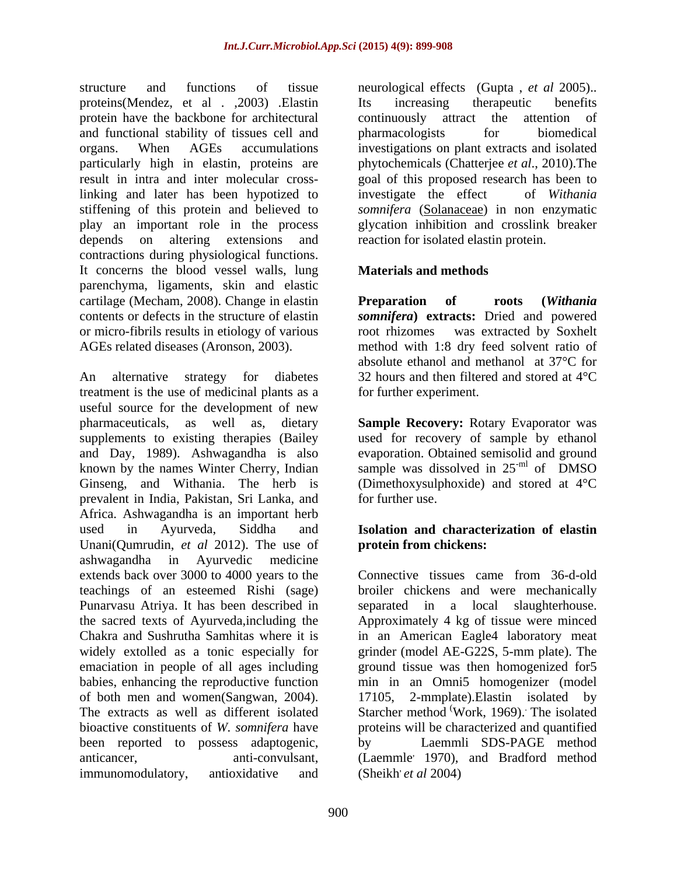structure and functions of tissue neurological effects (Gupta , *et al* 2005).. proteins(Mendez, et al . ,2003) .Elastin protein have the backbone for architectural continuously attract the attention of and functional stability of tissues cell and organs. When AGEs accumulations investigations on plant extracts and isolated particularly high in elastin, proteins are result in intra and inter molecular cross-goal of this proposed research has been to linking and later has been hypotized to investigate the effect of Withania stiffening of this protein and believed to *somnifera* (Solanaceae) in non enzymatic play an important role in the process glycation inhibition and crosslink breaker depends on altering extensions and reaction for isolated elastin protein. contractions during physiological functions. It concerns the blood vessel walls, lung parenchyma, ligaments, skin and elastic cartilage (Mecham, 2008). Change in elastin **Preparation** of roots (Withania contents or defects in the structure of elastin *somnifera***) extracts:** Dried and powered or micro-fibrils results in etiology of various AGEs related diseases (Aronson, 2003). method with 1:8 dry feed solvent ratio of

An alternative strategy for diabetes 32 hours and then filtered and stored at  $4^{\circ}$ C treatment is the use of medicinal plants as a useful source for the development of new pharmaceuticals, as well as, dietary **Sample Recovery:** Rotary Evaporator was supplements to existing therapies (Bailey used for recovery of sample by ethanol and Day, 1989). Ashwagandha is also known by the names Winter Cherry, Indian sample was dissolved in  $25<sup>-ml</sup>$  of DMSO Ginseng, and Withania. The herb is prevalent in India, Pakistan, Sri Lanka, and Africa. Ashwagandha is an important herb used in Ayurveda, Siddha and **Isolation and characterization of elastin** Unani(Qumrudin, *et al* 2012). The use of ashwagandha in Ayurvedic medicine extends back over 3000 to 4000 years to the teachings of an esteemed Rishi(sage) broiler chickens and were mechanically Punarvasu Atriya. It has been described in separated in a local slaughterhouse. the sacred texts of Ayurveda,including the Approximately 4 kg of tissue were minced Chakra and Sushrutha Samhitas where it is in an American Eagle4 laboratory meat widely extolled as a tonic especially for grinder (model AE-G22S, 5-mm plate). The emaciation in people of all ages including ground tissue was then homogenized for5 babies, enhancing the reproductive function of both men and women(Sangwan, 2004). <br>The extracts as well as different isolated Starcher method Work, 1969). The isolated bioactive constituents of *W. somnifera* have proteins will be characterized and quantified been reported to possess adaptogenic, by Laemmli SDS-PAGE method anticancer, anti-convulsant, (Laemmle, 1970), and Bradford method

Its increasing therapeutic benefits continuously attract the attention of pharmacologists for biomedical phytochemicals (Chatterjee *et al*., 2010).The investigate the effect of *Withania*

## **Materials and methods**

**Preparation of roots (***Withania*  root rhizomes was extracted by Soxhelt absolute ethanol and methanol at 37°C for 32 hours and then filtered and stored at 4°C for further experiment.

evaporation. Obtained semisolid and ground of DMSO (Dimethoxysulphoxide) and stored at 4°C for further use.

## **protein from chickens:**

immunomodulatory, antioxidative and (Sheikh' *et al* 2004) Connective tissues came from 36-d-old min in an Omni5 homogenizer (model 17105, 2-mmplate).Elastin isolated by Starcher method 'Work, 1969). The isolated . The isolated by Laemmli SDS-PAGE method (Sheikh, *et al* 2004)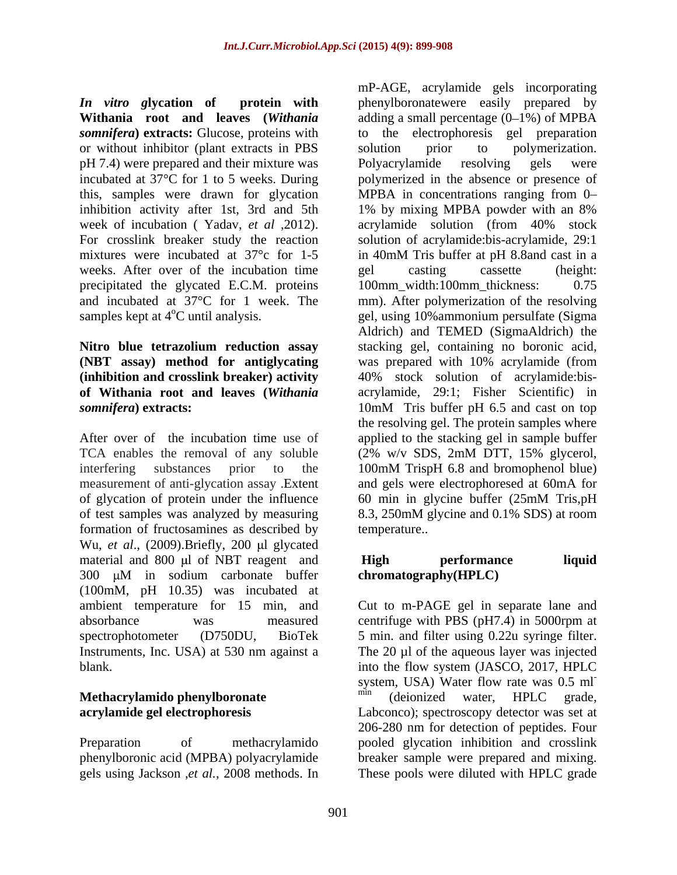or without inhibitor (plant extracts in PBS solution prior to polymerization. pH 7.4) were prepared and their mixture was Polyacrylamide resolving gels were this, samples were drawn for glycation inhibition activity after 1st, 3rd and 5th 1% by mixing MPBA powder with an 8% week of incubation ( Yadav, *et al* ,2012). For crosslink breaker study the reaction weeks. After over of the incubation time bel casting cassette (height: precipitated the glycated E.C.M. proteins 100mm\_width:100mm\_thickness: 0.75

# **(NBT assay) method for antiglycating** *somnifera*) extracts: 10mM Tris buffer pH 6.5 and cast on top

measurement of anti-glycation assay .Extent of glycation of protein under the influence 60 min in glycine buffer (25mM Tris, pH formation of fructosamines as described by Wu, *et al.*, (2009). Briefly, 200 µl glycated material and 800 µl of NBT reagent and **High performance liquid** 300 µM in sodium carbonate buffer (100mM, pH 10.35) was incubated at ambient temperature for 15 min, and absorbance was measured centrifuge with PBS (pH7.4) in 5000rpm at spectrophotometer (D750DU, BioTek 5 min. and filter using 0.22u syringe filter. Instruments, Inc. USA) at 530 nm against a

phenylboronic acid (MPBA) polyacrylamide gels using Jackson ,*et al.,* 2008 methods. In These pools were diluted with HPLC grade

*In vitro g***lycation of protein with** phenylboronatewere easily prepared by **Withania root and leaves (***Withania* adding a small percentage (0–1%) of MPBA **somnifera**) **extracts:** Glucose, proteins with to the electrophoresis gel preparation incubated at 37°C for 1 to 5 weeks. During polymerized in the absence or presence of mixtures were incubated at 37°c for 1-5 in 40mM Tris buffer at pH 8.8and cast in a and incubated at 37°C for 1 week. The mm). After polymerization of the resolving samples kept at 4<sup>o</sup>C until analysis. <br>gel, using 10% ammonium persulfate (Sigma **Nitro blue tetrazolium reduction assay** stacking gel, containing no boronic acid, **(inhibition and crosslink breaker) activity** 40% stock solution of acrylamide:bis **of Withania root and leaves (***Withania*  acrylamide, 29:1; Fisher Scientific) in After over of the incubation time use of applied to the stacking gel in sample buffer TCA enables the removal of any soluble (2% w/v SDS, 2mM DTT, 15% glycerol, interfering substances prior to the 100mM TrispH 6.8 and bromophenol blue) of test samples was analyzed by measuring 8.3, 250mM glycine and 0.1% SDS) at room mP-AGE, acrylamide gels incorporating solution prior to polymerization. Polyacrylamide resolving gels were MPBA in concentrations ranging from 0 1% by mixing MPBA powder with an 8% acrylamide solution (from 40% stock solution of acrylamide:bis-acrylamide, 29:1 gel casting cassette (height: 100mm\_width:100mm\_thickness: Aldrich) and TEMED (SigmaAldrich) the was prepared with 10% acrylamide (from 10mM Tris buffer pH 6.5 and cast on top the resolving gel. The protein samples where and gels were electrophoresed at 60mA for 60 min in glycine buffer (25mM Tris,pH temperature..

## **High performance liquid chromatography(HPLC)**

blank. into the flow system (JASCO, 2017, HPLC **Methacrylamido phenylboronate and in the min** (deionized water, HPLC grade, **acrylamide gel electrophoresis** Labconco); spectroscopy detector was set at Preparation of methacrylamido pooled glycation inhibition and crosslink Cut to m-PAGE gel in separate lane and The 20 µl of the aqueous layer was injected system, USA) Water flow rate was 0.5 ml<sup>-</sup> (deionized water, HPLC grade, 206-280 nm for detection of peptides. Four breaker sample were prepared and mixing.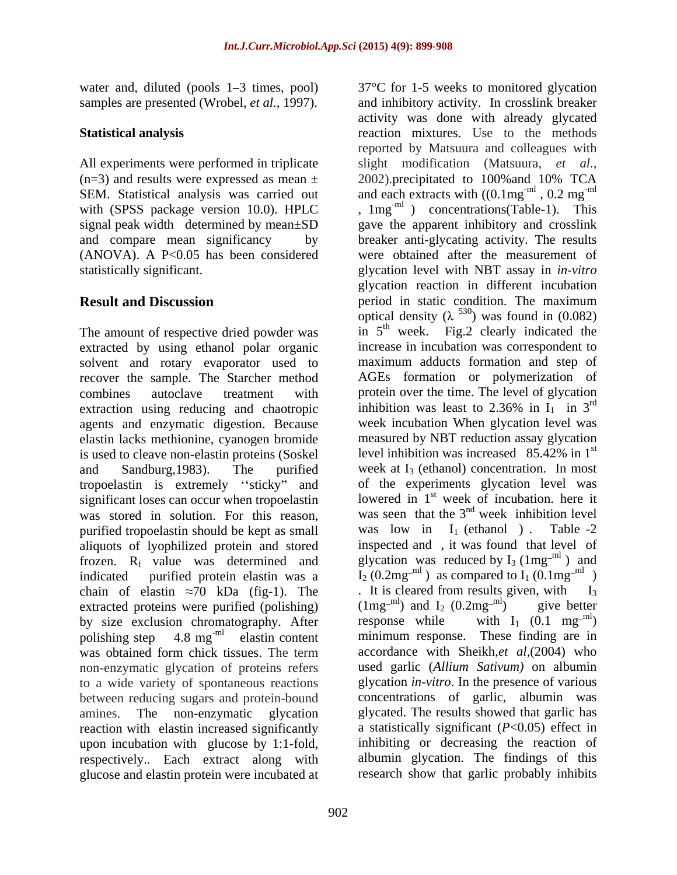water and, diluted (pools 1–3 times, pool) 37°C for 1-5 weeks to monitored glycation samples are presented (Wrobel, *et al.*, 1997).

All experiments were performed in triplicate  $(n=3)$  and results were expressed as mean  $\pm$  2002). precipitated to 100% and 10% TCA statistically significant. The subset of the selection of the selection of the statistically significant.

The amount of respective dried powder was extracted by using ethanol polar organic solvent and rotary evaporator used to extraction using reducing and chaotropic inhibition was least to 2.36% in  $I_1$  in 3<sup>rd</sup> agents and enzymatic digestion. Because elastin lacks methionine, cyanogen bromide is used to cleave non-elastin proteins (Soskel tropoelastin is extremely "sticky" and significant loses can occur when tropoelastin purified tropoelastin should be kept as small was low in  $I_1$  (ethanol). Table -2 aliquots of lyophilized protein and stored chain of elastin  $\approx$ 70 kDa (fig-1). The figure 1 st is cleared from results given, with I<sub>3</sub> extracted proteins were purified (polishing)  $(1mg^{-ml})$  and  $I_2 (0.2mg^{-ml})$  give better by size exclusion chromatography. After response while with  $I_1 (0.1 mg^{-ml})$ by size exclusion chromatography. After polishing step  $4.8 \text{ mg}^{\text{ml}}$  elastin content non-enzymatic glycation of proteins refers to a wide variety of spontaneous reactions between reducing sugars and protein-bound reaction with elastin increased significantly upon incubation with glucose by 1:1-fold, glucose and elastin protein were incubated at

**Statistical analysis** reaction mixtures. Use to the methods SEM. Statistical analysis was carried out and each extracts with  $((0.1mg^{-m1}, 0.2mg^{-m1})$ with (SPSS package version 10.0). HPLC  $\qquad$ , 1mg<sup>-ml</sup>) concentrations(Table-1). This signal peak width determined by mean±SD gave the apparent inhibitory and crosslink and compare mean significancy by breaker anti-glycating activity. The results (ANOVA). A P<0.05 has been considered were obtained after the measurement of **Result and Discussion** *period in static condition*. The maximum recover the sample. The Starcher method AGEs formation or polymerization of combines autoclave treatment with protein over the time. The level of glycation and Sandburg, 1983). The purified week at  $I_3$  (ethanol) concentration. In most was stored in solution. For this reason, was seen that the  $3<sup>nd</sup>$  week inhibition level frozen. R<sub>f</sub> value was determined and glycation was reduced by  $I_3$  (1mg<sup>-m1</sup>) and indicated purified protein elastin was a  $I_2(0.2mg^{-ml})$  as compared to  $I_1(0.1mg^{-ml})$ polishing step 4.8 mg<sup>-ml</sup> elastin content minimum response. These finding are in was obtained form chick tissues. The term accordance with Sheikh, *et al*, (2004) who amines. The non-enzymatic glycation glycated. The results showed that garlic has respectively.. Each extract along with albumin glycation. The findings of this and inhibitory activity. In crosslink breaker activity was done with already glycated reported by Matsuura and colleagues with slight modification (Matsuura, *et al.,* 2002).precipitated to 100%and 10% TCA ,  $0.2 \text{ mg}^{\text{-m}}$ -ml glycation level with NBT assay in *in-vitro* glycation reaction in different incubation optical density ( $\lambda^{530}$ ) was found in (0.082) in  $5<sup>th</sup>$  week. Fig.2 clearly indicated the increase in incubation was correspondent to maximum adducts formation and step of inhibition was least to 2.36% in  $I_1$  in 3<sup>rd</sup> rd week incubation When glycation level was measured by NBT reduction assay glycation level inhibition was increased  $85.42\%$  in 1<sup>st</sup> of the experiments glycation level was lowered in  $1<sup>st</sup>$  week of incubation. here it week inhibition level was low in  $I_1$  (ethanol). Table -2 inspected and , it was found that level of  $\mathbb{R}$  ) and . It is cleared from results given, with  $(1mg^{-ml})$  and  $I_2$   $(0.2mg^{-ml})$  $\text{cm}^{\text{ml}}$ ) give better response while with  $I_1$  (0.1 mg<sup>-m1</sup>)  $\mathsf{L}^{\text{ml}}$ accordance with Sheikh,*et al,*(2004) who used garlic (*Allium Sativum)* on albumin glycation *in-vitro*. In the presence of various concentrations of garlic, albumin was a statistically significant (*P*<0.05) effect in inhibiting or decreasing the reaction of research show that garlic probably inhibits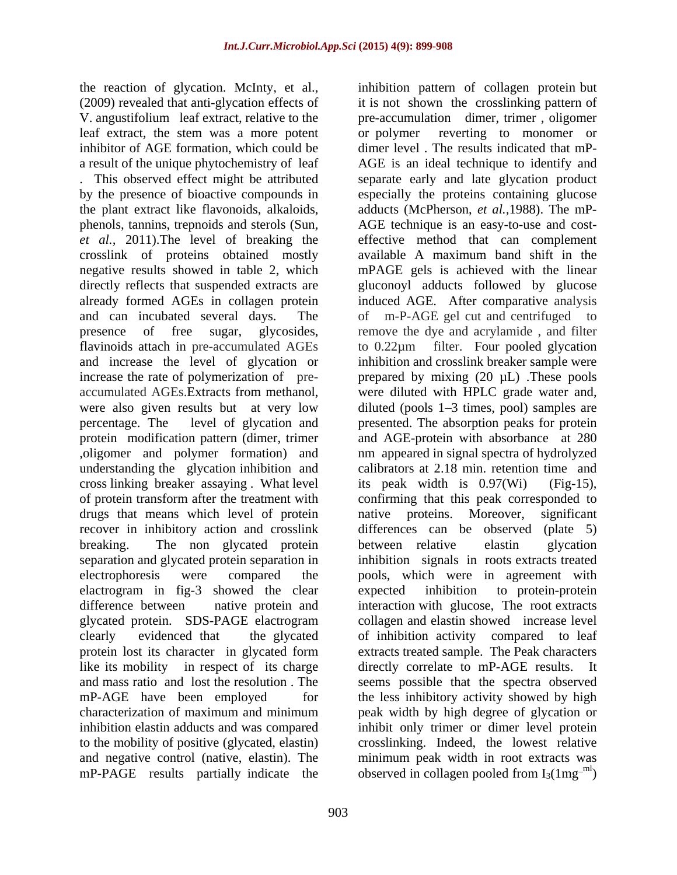the reaction of glycation. McInty, et al., leaf extract, the stem was a more potent inhibitor of AGE formation, which could be the plant extract like flavonoids, alkaloids, crosslink of proteins obtained mostly ,oligomer and polymer formation) and understanding the glycation inhibition and cross linking breaker assaying . What level its peak width is 0.97(Wi) (Fig-15), drugs that means which level of protein antive proteins. Moreover, significant breaking. The non glycated protein between relative elastin glycation elactrogram in fig-3 showed the clear expected inhibition to protein-protein protein lost its character in glycated form characterization of maximum and minimum mP-PAGE results partially indicate the observed in collagen pooled from  $I_3(1mg^{-ml})$ 

(2009) revealed that anti-glycation effects of it is not shown the crosslinking pattern of V. angustifolium leaf extract, relative to the pre-accumulation dimer, trimer , oligomer a result of the unique phytochemistry of leaf AGE is an ideal technique to identify and . This observed effect might be attributed separate early and late glycation product by the presence of bioactive compounds in especially the proteins containing glucose phenols, tannins, trepnoids and sterols (Sun, AGE technique is an easy-to-use and cost-<br> *et al.*, 2011).The level of breaking the effective method that can complement negative results showed in table 2, which mPAGE gels is achieved with the linear directly reflects that suspended extracts are gluconoyl adducts followed by glucose already formed AGEs in collagen protein induced AGE. After comparative analysis and can incubated several days. The of m-P-AGE gel cut and centrifuged to presence of free sugar, glycosides, remove the dye and acrylamide , and filter flavinoids attach in pre-accumulated AGEs to 0.22 $\mu$ m filter. Four pooled glycation and increase the level of glycation or inhibition and crosslink breaker sample were increase the rate of polymerization of pre- prepared by mixing (20 µL) .These pools accumulated AGEs.Extracts from methanol, were diluted with HPLC grade water and, were also given results but at very low diluted (pools 1–3 times, pool) samples are percentage. The level of glycation and presented. The absorption peaks for protein protein modification pattern (dimer, trimer and AGE-protein with absorbance at 280 of protein transform after the treatment with confirming that this peak corresponded to recover in inhibitory action and crosslink differences can be observed (plate 5) separation and glycated protein separation in inhibition signals in roots extracts treated electrophoresis were compared the pools, which were in agreement with difference between native protein and interaction with glucose, The root extracts glycated protein. SDS-PAGE elactrogram clearly evidenced that the glycated of inhibition activity compared to leaf like its mobility in respect of its charge directly correlate to mP-AGE results. It and mass ratio and lost the resolution . The seems possible that the spectra observed mP-AGE have been employed for the less inhibitory activity showed by high inhibition elastin adducts and was compared inhibit only trimer or dimer level protein to the mobility of positive (glycated, elastin) crosslinking. Indeed, the lowest relative and negative control (native, elastin). The minimum peak width in root extracts was inhibition pattern of collagen protein but reverting to monomer or dimer level . The results indicated that mP adducts (McPherson, *et al.,*1988). The mP- AGE technique is an easy-to-use and cost effective method that can complement available A maximum band shift in the to 0.22µm filter. Four pooled glycation inhibition and crosslink breaker sample were nm appeared in signal spectra of hydrolyzed calibrators at 2.18 min. retention time and its peak width is  $0.97$ (Wi) native proteins. Moreover, significant between relative elastin glycation expected inhibition to protein-protein collagen and elastin showed increase level extracts treated sample. The Peak characters peak width by high degree of glycation or observed in collagen pooled from  $I_3(1mg^{-ml})$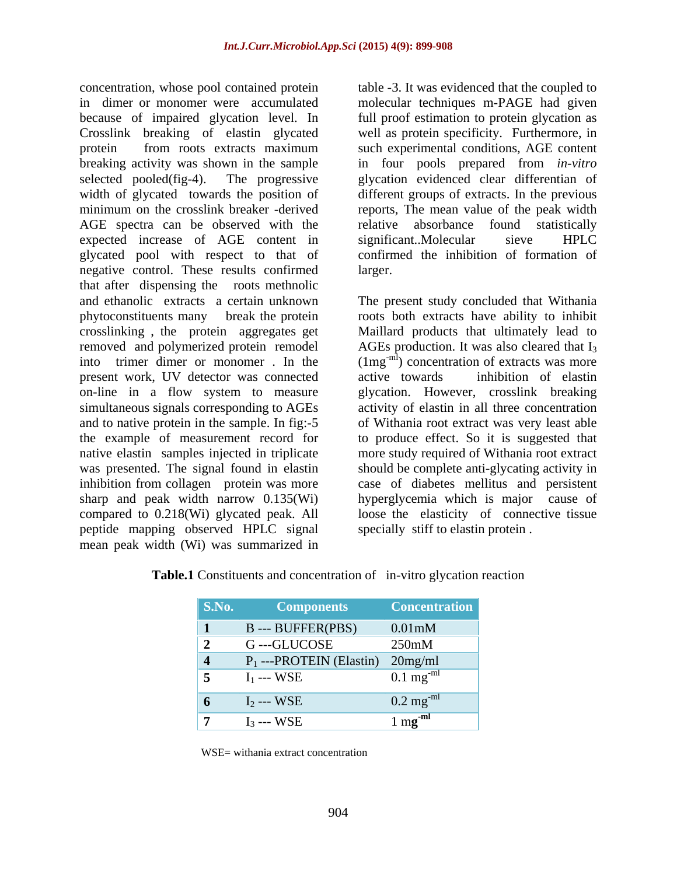concentration, whose pool contained protein in dimer or monomer were accumulated molecular techniques m-PAGE had given because of impaired glycation level. In Crosslink breaking of elastin glycated well as protein specificity. Furthermore, in protein from roots extracts maximum such experimental conditions, AGE content breaking activity was shown in the sample in four pools prepared from *in-vitro* selected pooled(fig-4). The progressive glycation evidenced clear differentian of width of glycated towards the position of different groups of extracts. In the previous minimum on the crosslink breaker -derived reports, The mean value of the peak width AGE spectra can be observed with the relative absorbance found statistically expected increase of AGE content in significant. Molecular sieve HPLC glycated pool with respect to that of negative control. These results confirmed that after dispensing the roots methnolic and ethanolic extracts a certain unknown The present study concluded that Withania phytoconstituents many break the protein roots both extracts have ability to inhibit crosslinking , the protein aggregates get Maillard products that ultimately lead to removed and polymerized protein remodel AGEs production. It was also cleared that I<sub>3</sub> into trimer dimer or monomer . In the  $(1mg^{-m})$  concentration of extracts was more present work, UV detector was connected on-line in a flow system to measure glycation. However, crosslink breaking simultaneous signals corresponding to AGEs activity of elastin in all three concentration and to native protein in the sample. In fig:-5 the example of measurement record for to produce effect. So it is suggested that native elastin samples injected in triplicate more study required of Withania root extract was presented. The signal found in elastin should be complete anti-glycating activity in inhibition from collagen protein was more case of diabetes mellitus and persistent sharp and peak width narrow 0.135(Wi) hyperglycemia which is major cause of compared to 0.218(Wi) glycated peak. All peptide mapping observed HPLC signal mean peak width (Wi) was summarized in

table -3. It was evidenced that the coupled to full proof estimation to protein glycation as relative absorbance found statistically significant..Molecular sieve HPLC confirmed the inhibition of formation of larger.

active towards inhibition of elastin of Withania root extract was very least able loose the elasticity of connective tissue specially stiff to elastin protein .

| <b>S.No. Components Concentration</b> |                        |
|---------------------------------------|------------------------|
| B--- BUFFER(PBS)                      | $0.01$ m $M$           |
| G---GLUCOSE                           | 250mM                  |
| 4 $P_1$ ---PROTEIN (Elastin) 20mg/ml  |                        |
| $I_1$ --- WSE                         | $0.1 \text{ mg}^{-ml}$ |
| 6 $I_2$ --- WSE                       | $0.2 \text{ mg}^{-ml}$ |
| $I_3$ --- WSE                         | $m\alpha$ -mi          |

| Table.1 C<br>onstituents and concentration of<br>in-vitro glycation reaction |  |
|------------------------------------------------------------------------------|--|
|                                                                              |  |

WSE= withania extract concentration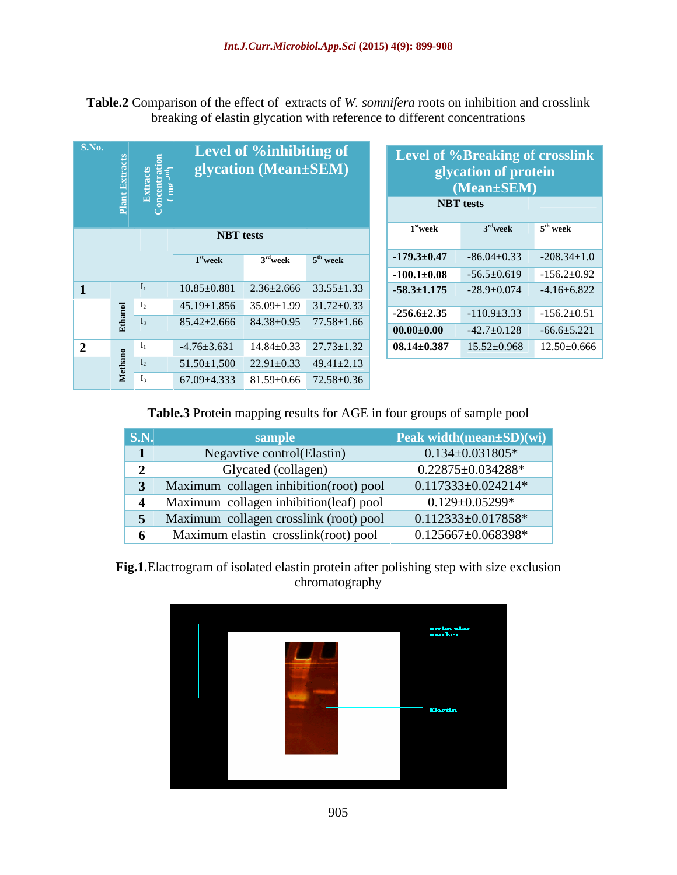**Table.2** Comparison of the effect of extracts of *W. somnifera* roots on inhibition and crosslink breaking of elastin glycation with reference to different concentrations

| S.No.           | Plant Ex                      | Extracts<br>oncentration<br>$\left(\begin{array}{c} m_2 \text{ }^{-m} \end{array}\right)$ |                                                     | Level of %inhibiting of<br>glycation (Mean±SEM) |                      |                      | Level of %Breaking of crosslink<br>glycation of protein<br>$(Mean \pm SEM)$<br><b>NBT</b> tests |                      |
|-----------------|-------------------------------|-------------------------------------------------------------------------------------------|-----------------------------------------------------|-------------------------------------------------|----------------------|----------------------|-------------------------------------------------------------------------------------------------|----------------------|
|                 |                               |                                                                                           | <b>NBT</b> tests                                    |                                                 |                      | 1 <sup>st</sup> week | $3rd$ week                                                                                      | 5 <sup>th</sup> week |
|                 |                               |                                                                                           | $1st$ week                                          | $3rd$ week                                      | 5 <sup>th</sup> week | $-179.3 \pm 0.47$    | $-86.04 \pm 0.33$                                                                               | $-208.34 \pm 1.0$    |
|                 |                               |                                                                                           |                                                     |                                                 |                      | $-100.1 \pm 0.08$    | $-56.5 \pm 0.619$                                                                               | $-156.2 \pm 0.92$    |
|                 |                               |                                                                                           | $10.85 \pm 0.881$                                   | $2.36 \pm 2.666$                                | $33.55 \pm 1.33$     | $-58.3 \pm 1.175$    | $-28.9 \pm 0.074$                                                                               | $-4.16 \pm 6.822$    |
|                 | $\overline{\circ}$ 1          |                                                                                           | $45.19 \pm 1.856$ $35.09 \pm 1.99$ $31.72 \pm 0.33$ |                                                 |                      | $-256.6 \pm 2.35$    | $-110.9 \pm 3.33$                                                                               | $-156.2 \pm 0.51$    |
|                 | Ethä                          |                                                                                           | $85.42 \pm 2.666$ $84.38 \pm 0.95$ $77.58 \pm 1.66$ |                                                 |                      |                      |                                                                                                 |                      |
|                 |                               |                                                                                           |                                                     |                                                 |                      | $00.00 {\pm} 0.00$   | $-42.7 \pm 0.128$                                                                               | $-66.6 \pm 5.221$    |
| $\vert 2 \vert$ | $\overline{2}$ $\overline{1}$ |                                                                                           | $-4.76 \pm 3.631$ $14.84 \pm 0.33$ $27.73 \pm 1.32$ |                                                 |                      | $08.14{\pm}0.387$    | $15.52 \pm 0.968$                                                                               | $12.50\pm0.666$      |
|                 |                               |                                                                                           | $51.50 \pm 1,500$ $22.91 \pm 0.33$                  |                                                 | $49.41 \pm 2.13$     |                      |                                                                                                 |                      |
|                 | ⋝                             |                                                                                           | $67.09 \pm 4.333$ $81.59 \pm 0.66$                  |                                                 | $72.58 \pm 0.36$     |                      |                                                                                                 |                      |

| Level of %inhibiting of<br>glycation (Mean±SEM)     |                          | Level of %Breaking of crosslink<br>glycation of protein<br>(Mean±SEM)<br><b>NBT</b> tests |                      |
|-----------------------------------------------------|--------------------------|-------------------------------------------------------------------------------------------|----------------------|
| <b>NBT</b> tests                                    | $1st$ week               | $3rd$ week                                                                                | 5 <sup>th</sup> week |
|                                                     | $-179.3 \pm 0.47$        | $-86.04 \pm 0.33$                                                                         | $-208.34 \pm 1.0$    |
| $3rd$ week $5th$ week<br>$1^{\rm st}$ week          |                          | $-100.1 \pm 0.08$ $-56.5 \pm 0.619$                                                       | $-156.2 \pm 0.92$    |
| $10.85 \pm 0.881$ $2.36 \pm 2.666$ $33.55 \pm 1.33$ | $-58.3 \pm 1.175$        | $-28.9 \pm 0.074$                                                                         | $-4.16 \pm 6.822$    |
| $45.19 \pm 1.856$ $35.09 \pm 1.99$ $31.72 \pm 0.33$ |                          | $\vert$ -256.6±2.35 -110.9±3.33                                                           | $-156.2 \pm 0.51$    |
| $85.42 \pm 2.666$ $84.38 \pm 0.95$ $77.58 \pm 1.66$ | $\vert$ 00.00 $\pm$ 0.00 | $-42.7 \pm 0.128$                                                                         | $-66.6 \pm 5.221$    |
| $-4.76 \pm 3.631$ $14.84 \pm 0.33$ $27.73 \pm 1.32$ | $08.14 {\pm} 0.387$      | $15.52 \pm 0.968$                                                                         | $12.50\pm0.666$      |

**Table.3** Protein mapping results for AGE in four groups of sample pool

| $\vert$ S.N. | sample                                 | Peak width(mean $\pm SD(wi)$ |
|--------------|----------------------------------------|------------------------------|
|              | Negavtive control(Elastin)             | $0.134 \pm 0.031805$ *       |
|              | Glycated (collagen)                    | $0.22875 \pm 0.034288$ *     |
|              | Maximum collagen inhibition(root) pool | $0.117333 \pm 0.024214^*$    |
|              | Maximum collagen inhibition(leaf) pool | $0.129 \pm 0.05299^*$        |
|              | Maximum collagen crosslink (root) pool | $0.112333 \pm 0.017858$ *    |
|              | Maximum elastin crosslink(root) pool   | $0.125667 \pm 0.068398^*$    |

**Fig.1**.Elactrogram of isolated elastin protein after polishing step with size exclusion chromatography and the control of the control of the control of the control of the control of the control of the control of the control of the control of the control of the control of the control of the control of the cont

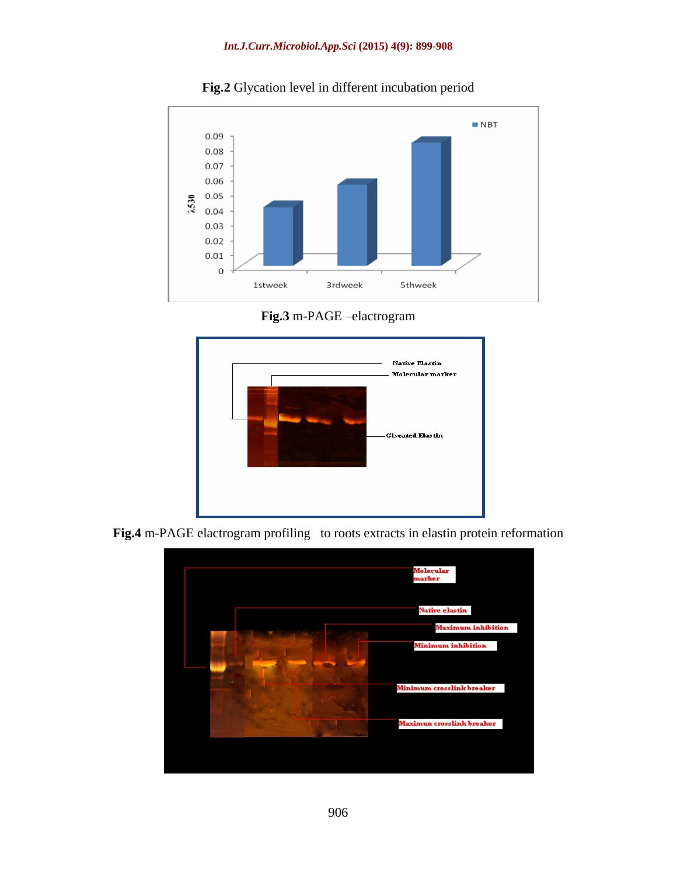

**Fig.2** Glycation level in different incubation period

**Fig.3** m-PAGE -elactrogram



**Fig.4** m-PAGE elactrogram profiling to roots extracts in elastin protein reformation

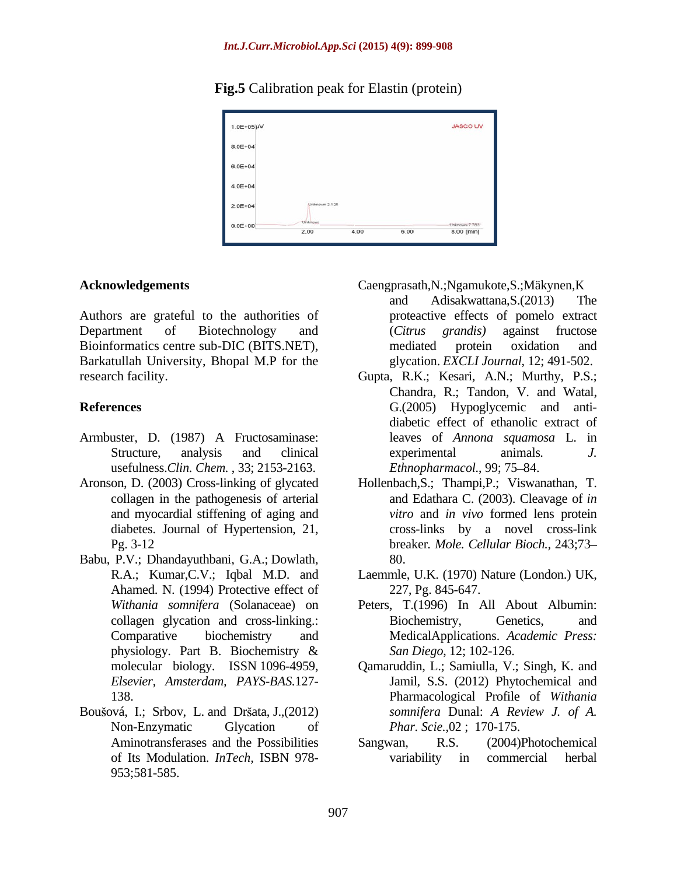## **Fig.5** Calibration peak for Elastin (protein)



Authors are grateful to the authorities of Department of Biotechnology and (Citrus grandis) against fructose Bioinformatics centre sub-DIC (BITS.NET), mediated protein oxidation and Barkatullah University, Bhopal M.P for the

- Armbuster, D. (1987) A Fructosaminase: usefulness.*Clin. Chem.* , 33; 2153-2163.
- collagen in the pathogenesis of arterial and myocardial stiffening of aging and
- Babu, P.V.; Dhandayuthbani, G.A.; Dowlath, Ahamed. N. (1994) Protective effect of
- Boušová, I.; Srbov, L. and Dršata, J., (2012) Aminotransferases and the Possibilities Sangwan, R.S. 953;581-585.
- **Acknowledgements** Caengprasath,N.;Ngamukote,S.;Mäkynen,K
	- and Adisakwattana,S.(2013) The proteactive effects of pomelo extract (*Citrus grandis)* against fructose mediated protein oxidation and glycation. *EXCLI Journal*, 12; 491-502.
- research facility. Gupta, R.K.; Kesari, A.N.; Murthy, P.S.; **References** G.(2005) Hypoglycemic and anti- Structure, analysis and clinical experimental animals. J. Chandra, R.; Tandon, V. and Watal, diabetic effect of ethanolic extract of leaves of *Annona squamosa* L. in experimental animals*. J. Ethnopharmacol.*, 99; 75-84.
- Aronson, D. (2003) Cross-linking of glycated Hollenbach,S.; Thampi,P.; Viswanathan, T. diabetes. Journal of Hypertension, 21, cross-links by a novel cross-link<br>Pg. 3-12 breaker. Mole. Cellular Bioch., 243;73and Edathara C. (2003). Cleavage of *in vitro* and *in vivo* formed lens protein cross-links by a novel cross-link breaker*. Mole. Cellular Bioch.,* 243;73 80.
	- R.A.; Kumar,C.V.; Iqbal M.D. and Laemmle, U.K. (1970) Nature (London.) UK, 227, Pg. 845-647.
	- *Withania somnifera* (Solanaceae) on Peters, T.(1996) In All About Albumin: collagen glycation and cross-linking.: Comparative biochemistry and MedicalApplications. *Academic Press:* physiology. Part B. Biochemistry & San Diego, 12; 102-126. Biochemistry, Genetics, and *San Diego*, 12; 102-126.
	- molecular biology. ISSN 1096-4959, Qamaruddin, L.; Samiulla, V.; Singh, K. and *Elsevier, Amsterdam, PAYS-BAS*.127- Jamil, S.S. (2012) Phytochemical and 138. Pharmacological Profile of *Withania*  Non-Enzymatic Glycation of *Phar. Scie.*,02; 170-175. *somnifera* Dunal: *A Review J. of A. Phar. Scie.*,02 ; 170-175.
	- of Its Modulation. *InTech,* ISBN 978- (2004)Photochemical variability in commercial herbal